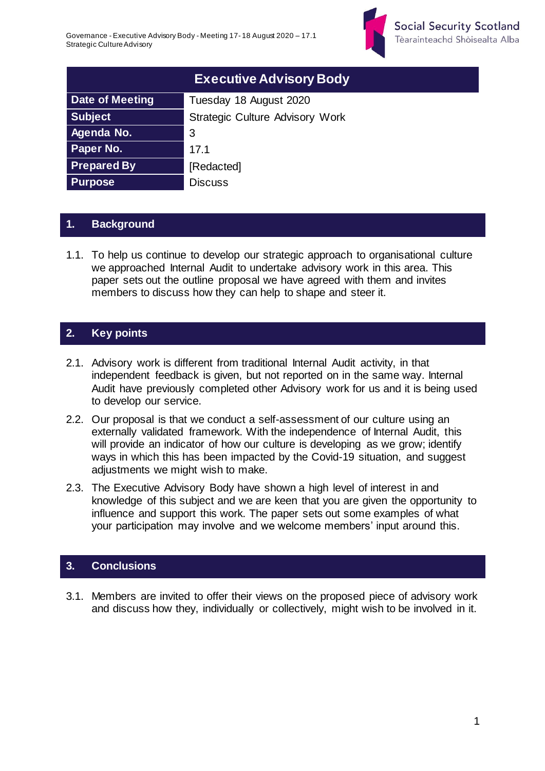

|                        | <b>Executive Advisory Body</b>         |
|------------------------|----------------------------------------|
| <b>Date of Meeting</b> | Tuesday 18 August 2020                 |
| <b>Subject</b>         | <b>Strategic Culture Advisory Work</b> |
| Agenda No.             | 3                                      |
| Paper No.              | 17.1                                   |
| <b>Prepared By</b>     | [Redacted]                             |
| <b>Purpose</b>         | <b>Discuss</b>                         |

## **1. Background**

1.1. To help us continue to develop our strategic approach to organisational culture we approached Internal Audit to undertake advisory work in this area. This paper sets out the outline proposal we have agreed with them and invites members to discuss how they can help to shape and steer it.

## **2. Key points**

- 2.1. Advisory work is different from traditional Internal Audit activity, in that independent feedback is given, but not reported on in the same way. Internal Audit have previously completed other Advisory work for us and it is being used to develop our service.
- 2.2. Our proposal is that we conduct a self-assessment of our culture using an externally validated framework. With the independence of Internal Audit, this will provide an indicator of how our culture is developing as we grow; identify ways in which this has been impacted by the Covid-19 situation, and suggest adjustments we might wish to make.
- 2.3. The Executive Advisory Body have shown a high level of interest in and knowledge of this subject and we are keen that you are given the opportunity to influence and support this work. The paper sets out some examples of what your participation may involve and we welcome members' input around this.

#### **3. Conclusions**

3.1. Members are invited to offer their views on the proposed piece of advisory work and discuss how they, individually or collectively, might wish to be involved in it.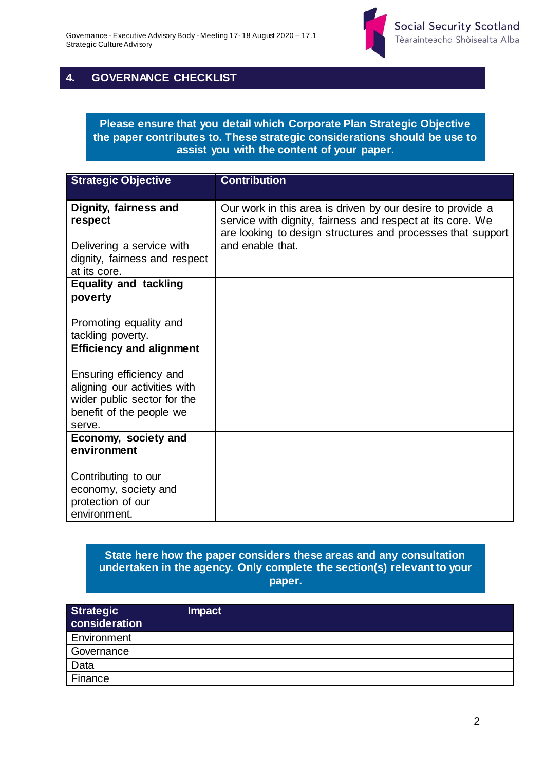

## **4. GOVERNANCE CHECKLIST**

#### **Please ensure that you detail which Corporate Plan Strategic Objective the paper contributes to. These strategic considerations should be use to assist you with the content of your paper.**

| <b>Strategic Objective</b>                                                                                                   | <b>Contribution</b>                                                                                                                                                                     |
|------------------------------------------------------------------------------------------------------------------------------|-----------------------------------------------------------------------------------------------------------------------------------------------------------------------------------------|
| Dignity, fairness and<br>respect                                                                                             | Our work in this area is driven by our desire to provide a<br>service with dignity, fairness and respect at its core. We<br>are looking to design structures and processes that support |
| Delivering a service with                                                                                                    | and enable that.                                                                                                                                                                        |
| dignity, fairness and respect<br>at its core.                                                                                |                                                                                                                                                                                         |
| <b>Equality and tackling</b>                                                                                                 |                                                                                                                                                                                         |
| poverty                                                                                                                      |                                                                                                                                                                                         |
| Promoting equality and<br>tackling poverty.                                                                                  |                                                                                                                                                                                         |
| <b>Efficiency and alignment</b>                                                                                              |                                                                                                                                                                                         |
| Ensuring efficiency and<br>aligning our activities with<br>wider public sector for the<br>benefit of the people we<br>serve. |                                                                                                                                                                                         |
| Economy, society and<br>environment                                                                                          |                                                                                                                                                                                         |
|                                                                                                                              |                                                                                                                                                                                         |
| Contributing to our                                                                                                          |                                                                                                                                                                                         |
| economy, society and                                                                                                         |                                                                                                                                                                                         |
| protection of our<br>environment.                                                                                            |                                                                                                                                                                                         |

#### **State here how the paper considers these areas and any consultation undertaken in the agency. Only complete the section(s) relevant to your paper.**

| <b>Strategic</b><br>consideration | <b>Impact</b> |
|-----------------------------------|---------------|
| Environment                       |               |
| Governance                        |               |
| Data                              |               |
| Finance                           |               |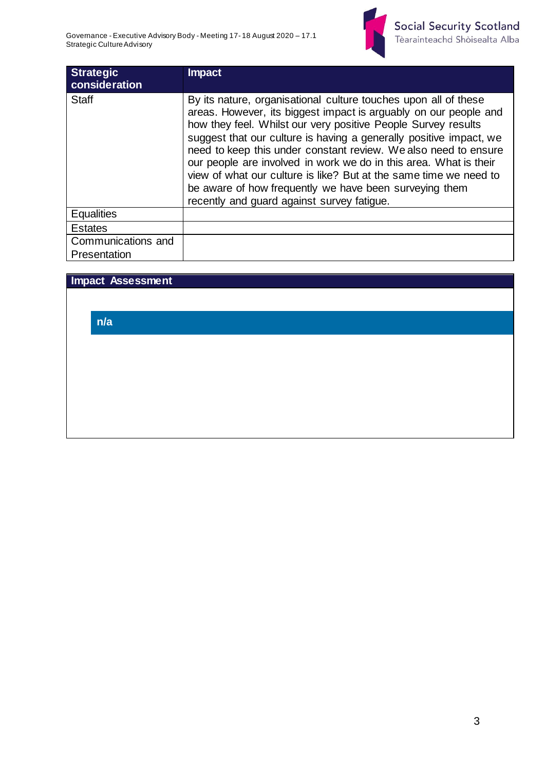

| <b>Strategic</b><br>consideration | <b>Impact</b>                                                                                                                                                                                                                                                                                                                                                                                                                                                                                                                                                                                   |
|-----------------------------------|-------------------------------------------------------------------------------------------------------------------------------------------------------------------------------------------------------------------------------------------------------------------------------------------------------------------------------------------------------------------------------------------------------------------------------------------------------------------------------------------------------------------------------------------------------------------------------------------------|
| <b>Staff</b>                      | By its nature, organisational culture touches upon all of these<br>areas. However, its biggest impact is arguably on our people and<br>how they feel. Whilst our very positive People Survey results<br>suggest that our culture is having a generally positive impact, we<br>need to keep this under constant review. We also need to ensure<br>our people are involved in work we do in this area. What is their<br>view of what our culture is like? But at the same time we need to<br>be aware of how frequently we have been surveying them<br>recently and guard against survey fatigue. |
| <b>Equalities</b>                 |                                                                                                                                                                                                                                                                                                                                                                                                                                                                                                                                                                                                 |
| <b>Estates</b>                    |                                                                                                                                                                                                                                                                                                                                                                                                                                                                                                                                                                                                 |
| Communications and                |                                                                                                                                                                                                                                                                                                                                                                                                                                                                                                                                                                                                 |
| Presentation                      |                                                                                                                                                                                                                                                                                                                                                                                                                                                                                                                                                                                                 |

### **Impact Assessment**

**n/a**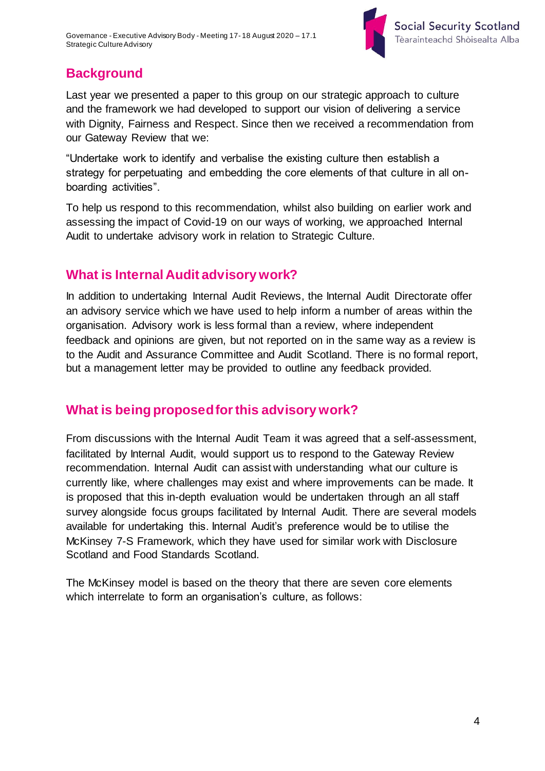

# **Background**

Last year we presented a paper to this group on our strategic approach to culture and the framework we had developed to support our vision of delivering a service with Dignity, Fairness and Respect. Since then we received a recommendation from our Gateway Review that we:

"Undertake work to identify and verbalise the existing culture then establish a strategy for perpetuating and embedding the core elements of that culture in all onboarding activities".

To help us respond to this recommendation, whilst also building on earlier work and assessing the impact of Covid-19 on our ways of working, we approached Internal Audit to undertake advisory work in relation to Strategic Culture.

# **What is Internal Audit advisory work?**

In addition to undertaking Internal Audit Reviews, the Internal Audit Directorate offer an advisory service which we have used to help inform a number of areas within the organisation. Advisory work is less formal than a review, where independent feedback and opinions are given, but not reported on in the same way as a review is to the Audit and Assurance Committee and Audit Scotland. There is no formal report, but a management letter may be provided to outline any feedback provided.

# **What is being proposed for this advisory work?**

From discussions with the Internal Audit Team it was agreed that a self-assessment, facilitated by Internal Audit, would support us to respond to the Gateway Review recommendation. Internal Audit can assist with understanding what our culture is currently like, where challenges may exist and where improvements can be made. It is proposed that this in-depth evaluation would be undertaken through an all staff survey alongside focus groups facilitated by Internal Audit. There are several models available for undertaking this. Internal Audit's preference would be to utilise the McKinsey 7-S Framework, which they have used for similar work with Disclosure Scotland and Food Standards Scotland.

The McKinsey model is based on the theory that there are seven core elements which interrelate to form an organisation's culture, as follows: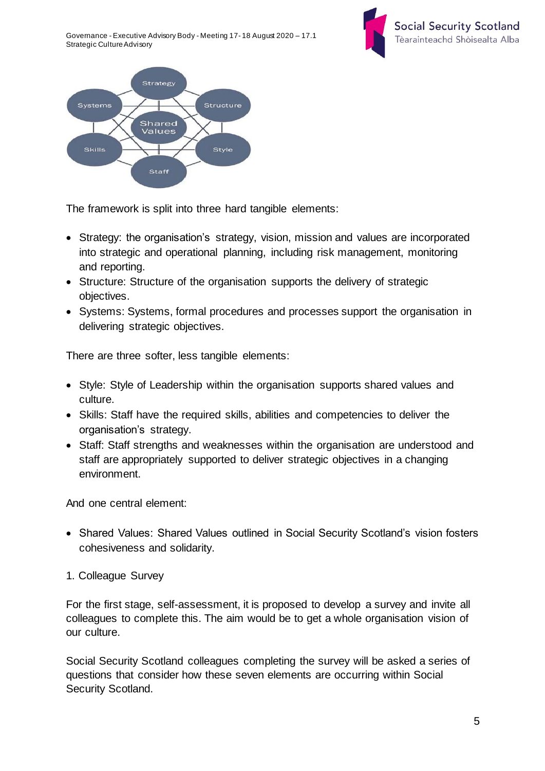Governance - Executive Advisory Body - Meeting 17- 18 August 2020 – 17.1 Strategic Culture Advisory





The framework is split into three hard tangible elements:

- Strategy: the organisation's strategy, vision, mission and values are incorporated into strategic and operational planning, including risk management, monitoring and reporting.
- Structure: Structure of the organisation supports the delivery of strategic objectives.
- Systems: Systems, formal procedures and processes support the organisation in delivering strategic objectives.

There are three softer, less tangible elements:

- Style: Style of Leadership within the organisation supports shared values and culture.
- Skills: Staff have the required skills, abilities and competencies to deliver the organisation's strategy.
- Staff: Staff strengths and weaknesses within the organisation are understood and staff are appropriately supported to deliver strategic objectives in a changing environment.

And one central element:

- Shared Values: Shared Values outlined in Social Security Scotland's vision fosters cohesiveness and solidarity.
- 1. Colleague Survey

For the first stage, self-assessment, it is proposed to develop a survey and invite all colleagues to complete this. The aim would be to get a whole organisation vision of our culture.

Social Security Scotland colleagues completing the survey will be asked a series of questions that consider how these seven elements are occurring within Social Security Scotland.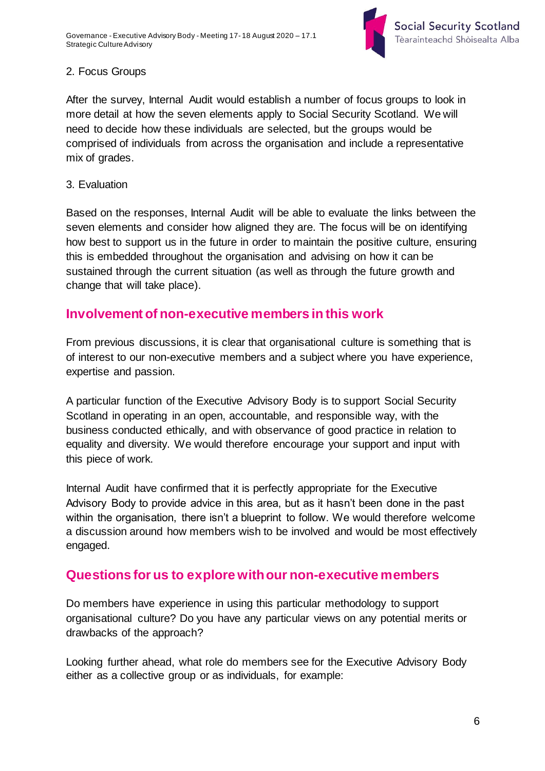

## 2. Focus Groups

After the survey, Internal Audit would establish a number of focus groups to look in more detail at how the seven elements apply to Social Security Scotland. We will need to decide how these individuals are selected, but the groups would be comprised of individuals from across the organisation and include a representative mix of grades.

### 3. Evaluation

Based on the responses, Internal Audit will be able to evaluate the links between the seven elements and consider how aligned they are. The focus will be on identifying how best to support us in the future in order to maintain the positive culture, ensuring this is embedded throughout the organisation and advising on how it can be sustained through the current situation (as well as through the future growth and change that will take place).

## **Involvement of non-executive members in this work**

From previous discussions, it is clear that organisational culture is something that is of interest to our non-executive members and a subject where you have experience, expertise and passion.

A particular function of the Executive Advisory Body is to support Social Security Scotland in operating in an open, accountable, and responsible way, with the business conducted ethically, and with observance of good practice in relation to equality and diversity. We would therefore encourage your support and input with this piece of work.

Internal Audit have confirmed that it is perfectly appropriate for the Executive Advisory Body to provide advice in this area, but as it hasn't been done in the past within the organisation, there isn't a blueprint to follow. We would therefore welcome a discussion around how members wish to be involved and would be most effectively engaged.

## **Questions for us to explore with our non-executive members**

Do members have experience in using this particular methodology to support organisational culture? Do you have any particular views on any potential merits or drawbacks of the approach?

Looking further ahead, what role do members see for the Executive Advisory Body either as a collective group or as individuals, for example: